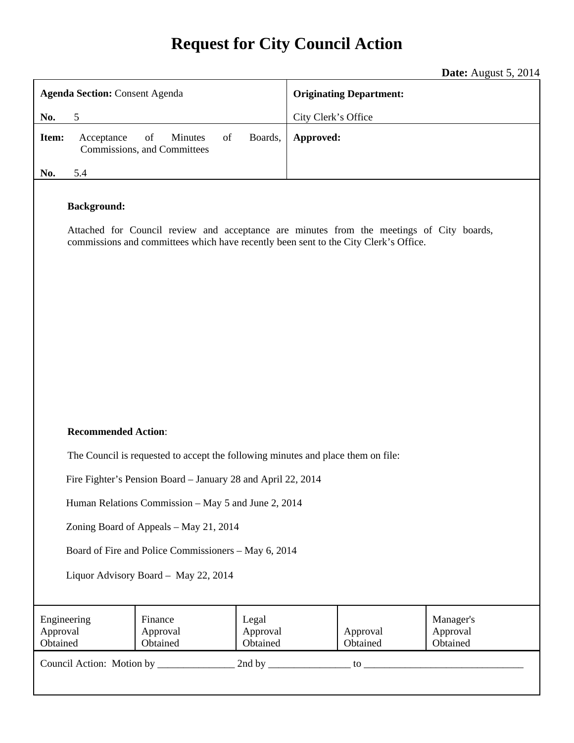# **Request for City Council Action**

# **Date:** August 5, 2014

| <b>Agenda Section: Consent Agenda</b>                                                                                                                                                                  |                                                    |                               | <b>Originating Department:</b>                            |  |
|--------------------------------------------------------------------------------------------------------------------------------------------------------------------------------------------------------|----------------------------------------------------|-------------------------------|-----------------------------------------------------------|--|
| 5<br>No.                                                                                                                                                                                               |                                                    |                               | City Clerk's Office                                       |  |
| Acceptance<br>Item:                                                                                                                                                                                    | Minutes<br>of<br>of<br>Commissions, and Committees | Boards,                       | Approved:                                                 |  |
| 5.4<br>No.                                                                                                                                                                                             |                                                    |                               |                                                           |  |
| <b>Background:</b><br>Attached for Council review and acceptance are minutes from the meetings of City boards,<br>commissions and committees which have recently been sent to the City Clerk's Office. |                                                    |                               |                                                           |  |
| <b>Recommended Action:</b>                                                                                                                                                                             |                                                    |                               |                                                           |  |
| The Council is requested to accept the following minutes and place them on file:                                                                                                                       |                                                    |                               |                                                           |  |
| Fire Fighter's Pension Board - January 28 and April 22, 2014                                                                                                                                           |                                                    |                               |                                                           |  |
| Human Relations Commission - May 5 and June 2, 2014                                                                                                                                                    |                                                    |                               |                                                           |  |
| Zoning Board of Appeals - May 21, 2014                                                                                                                                                                 |                                                    |                               |                                                           |  |
| Board of Fire and Police Commissioners - May 6, 2014                                                                                                                                                   |                                                    |                               |                                                           |  |
| Liquor Advisory Board - May 22, 2014                                                                                                                                                                   |                                                    |                               |                                                           |  |
| Engineering<br>Approval<br>Obtained                                                                                                                                                                    | Finance<br>Approval<br>Obtained                    | Legal<br>Approval<br>Obtained | Manager's<br>Approval<br>Approval<br>Obtained<br>Obtained |  |
| Council Action: Motion by _______________                                                                                                                                                              |                                                    |                               |                                                           |  |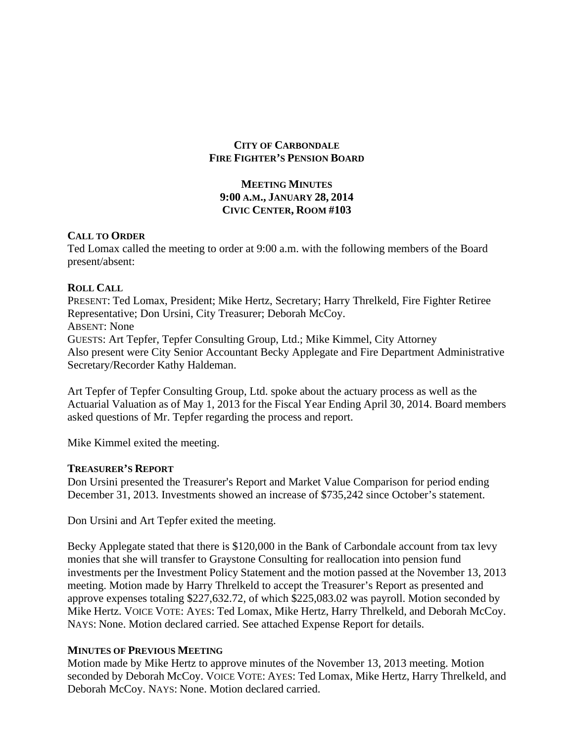# **CITY OF CARBONDALE FIRE FIGHTER'S PENSION BOARD**

# **MEETING MINUTES 9:00 A.M., JANUARY 28, 2014 CIVIC CENTER, ROOM #103**

# **CALL TO ORDER**

Ted Lomax called the meeting to order at 9:00 a.m. with the following members of the Board present/absent:

## **ROLL CALL**

PRESENT: Ted Lomax, President; Mike Hertz, Secretary; Harry Threlkeld, Fire Fighter Retiree Representative; Don Ursini, City Treasurer; Deborah McCoy. ABSENT: None GUESTS: Art Tepfer, Tepfer Consulting Group, Ltd.; Mike Kimmel, City Attorney Also present were City Senior Accountant Becky Applegate and Fire Department Administrative Secretary/Recorder Kathy Haldeman.

Art Tepfer of Tepfer Consulting Group, Ltd. spoke about the actuary process as well as the Actuarial Valuation as of May 1, 2013 for the Fiscal Year Ending April 30, 2014. Board members asked questions of Mr. Tepfer regarding the process and report.

Mike Kimmel exited the meeting.

## **TREASURER'S REPORT**

Don Ursini presented the Treasurer's Report and Market Value Comparison for period ending December 31, 2013. Investments showed an increase of \$735,242 since October's statement.

Don Ursini and Art Tepfer exited the meeting.

Becky Applegate stated that there is \$120,000 in the Bank of Carbondale account from tax levy monies that she will transfer to Graystone Consulting for reallocation into pension fund investments per the Investment Policy Statement and the motion passed at the November 13, 2013 meeting. Motion made by Harry Threlkeld to accept the Treasurer's Report as presented and approve expenses totaling \$227,632.72, of which \$225,083.02 was payroll. Motion seconded by Mike Hertz. VOICE VOTE: AYES: Ted Lomax, Mike Hertz, Harry Threlkeld, and Deborah McCoy. NAYS: None. Motion declared carried. See attached Expense Report for details.

# **MINUTES OF PREVIOUS MEETING**

Motion made by Mike Hertz to approve minutes of the November 13, 2013 meeting. Motion seconded by Deborah McCoy. VOICE VOTE: AYES: Ted Lomax, Mike Hertz, Harry Threlkeld, and Deborah McCoy. NAYS: None. Motion declared carried.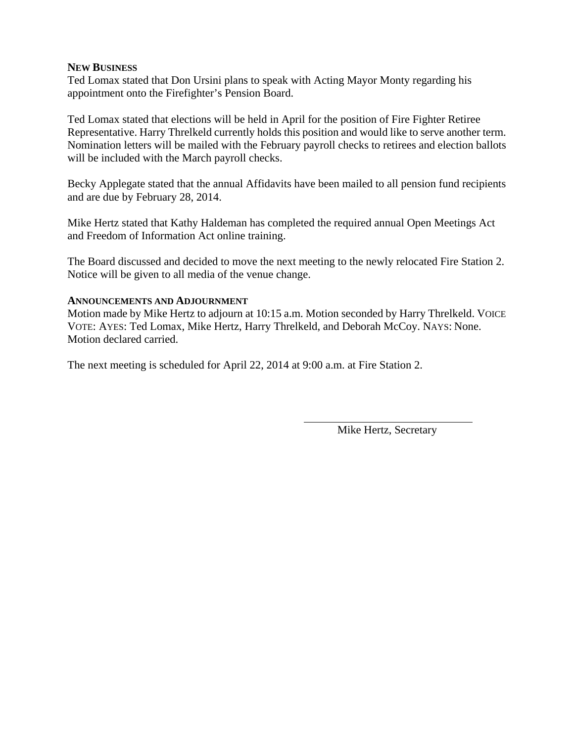## **NEW BUSINESS**

Ted Lomax stated that Don Ursini plans to speak with Acting Mayor Monty regarding his appointment onto the Firefighter's Pension Board.

Ted Lomax stated that elections will be held in April for the position of Fire Fighter Retiree Representative. Harry Threlkeld currently holds this position and would like to serve another term. Nomination letters will be mailed with the February payroll checks to retirees and election ballots will be included with the March payroll checks.

Becky Applegate stated that the annual Affidavits have been mailed to all pension fund recipients and are due by February 28, 2014.

Mike Hertz stated that Kathy Haldeman has completed the required annual Open Meetings Act and Freedom of Information Act online training.

The Board discussed and decided to move the next meeting to the newly relocated Fire Station 2. Notice will be given to all media of the venue change.

#### **ANNOUNCEMENTS AND ADJOURNMENT**

Motion made by Mike Hertz to adjourn at 10:15 a.m. Motion seconded by Harry Threlkeld. VOICE VOTE: AYES: Ted Lomax, Mike Hertz, Harry Threlkeld, and Deborah McCoy. NAYS: None. Motion declared carried.

The next meeting is scheduled for April 22, 2014 at 9:00 a.m. at Fire Station 2.

Mike Hertz, Secretary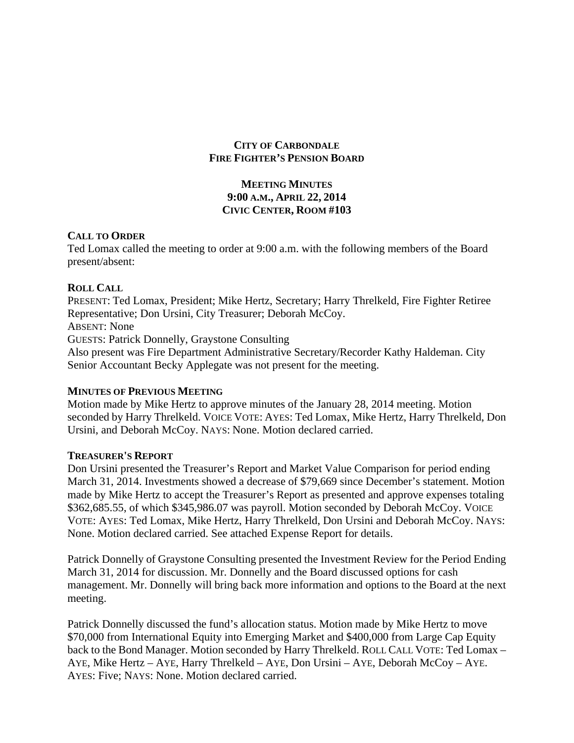# **CITY OF CARBONDALE FIRE FIGHTER'S PENSION BOARD**

# **MEETING MINUTES 9:00 A.M., APRIL 22, 2014 CIVIC CENTER, ROOM #103**

## **CALL TO ORDER**

Ted Lomax called the meeting to order at 9:00 a.m. with the following members of the Board present/absent:

# **ROLL CALL**

PRESENT: Ted Lomax, President; Mike Hertz, Secretary; Harry Threlkeld, Fire Fighter Retiree Representative; Don Ursini, City Treasurer; Deborah McCoy. ABSENT: None GUESTS: Patrick Donnelly, Graystone Consulting Also present was Fire Department Administrative Secretary/Recorder Kathy Haldeman. City Senior Accountant Becky Applegate was not present for the meeting.

## **MINUTES OF PREVIOUS MEETING**

Motion made by Mike Hertz to approve minutes of the January 28, 2014 meeting. Motion seconded by Harry Threlkeld. VOICE VOTE: AYES: Ted Lomax, Mike Hertz, Harry Threlkeld, Don Ursini, and Deborah McCoy. NAYS: None. Motion declared carried.

## **TREASURER'S REPORT**

Don Ursini presented the Treasurer's Report and Market Value Comparison for period ending March 31, 2014. Investments showed a decrease of \$79,669 since December's statement. Motion made by Mike Hertz to accept the Treasurer's Report as presented and approve expenses totaling \$362,685.55, of which \$345,986.07 was payroll. Motion seconded by Deborah McCoy. VOICE VOTE: AYES: Ted Lomax, Mike Hertz, Harry Threlkeld, Don Ursini and Deborah McCoy. NAYS: None. Motion declared carried. See attached Expense Report for details.

Patrick Donnelly of Graystone Consulting presented the Investment Review for the Period Ending March 31, 2014 for discussion. Mr. Donnelly and the Board discussed options for cash management. Mr. Donnelly will bring back more information and options to the Board at the next meeting.

Patrick Donnelly discussed the fund's allocation status. Motion made by Mike Hertz to move \$70,000 from International Equity into Emerging Market and \$400,000 from Large Cap Equity back to the Bond Manager. Motion seconded by Harry Threlkeld. ROLL CALL VOTE: Ted Lomax – AYE, Mike Hertz – AYE, Harry Threlkeld – AYE, Don Ursini – AYE, Deborah McCoy – AYE. AYES: Five; NAYS: None. Motion declared carried.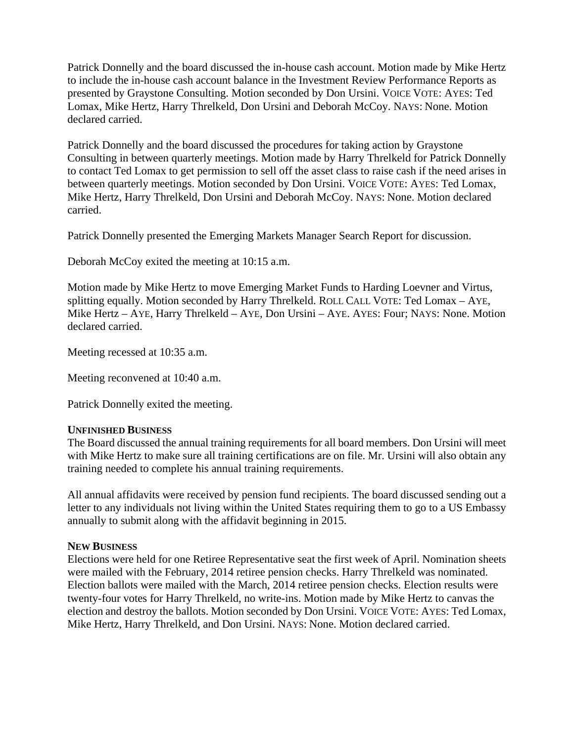Patrick Donnelly and the board discussed the in-house cash account. Motion made by Mike Hertz to include the in-house cash account balance in the Investment Review Performance Reports as presented by Graystone Consulting. Motion seconded by Don Ursini. VOICE VOTE: AYES: Ted Lomax, Mike Hertz, Harry Threlkeld, Don Ursini and Deborah McCoy. NAYS: None. Motion declared carried.

Patrick Donnelly and the board discussed the procedures for taking action by Graystone Consulting in between quarterly meetings. Motion made by Harry Threlkeld for Patrick Donnelly to contact Ted Lomax to get permission to sell off the asset class to raise cash if the need arises in between quarterly meetings. Motion seconded by Don Ursini. VOICE VOTE: AYES: Ted Lomax, Mike Hertz, Harry Threlkeld, Don Ursini and Deborah McCoy. NAYS: None. Motion declared carried.

Patrick Donnelly presented the Emerging Markets Manager Search Report for discussion.

Deborah McCoy exited the meeting at 10:15 a.m.

Motion made by Mike Hertz to move Emerging Market Funds to Harding Loevner and Virtus, splitting equally. Motion seconded by Harry Threlkeld. ROLL CALL VOTE: Ted Lomax – AYE, Mike Hertz – AYE, Harry Threlkeld – AYE, Don Ursini – AYE. AYES: Four; NAYS: None. Motion declared carried.

Meeting recessed at 10:35 a.m.

Meeting reconvened at 10:40 a.m.

Patrick Donnelly exited the meeting.

## **UNFINISHED BUSINESS**

The Board discussed the annual training requirements for all board members. Don Ursini will meet with Mike Hertz to make sure all training certifications are on file. Mr. Ursini will also obtain any training needed to complete his annual training requirements.

All annual affidavits were received by pension fund recipients. The board discussed sending out a letter to any individuals not living within the United States requiring them to go to a US Embassy annually to submit along with the affidavit beginning in 2015.

## **NEW BUSINESS**

Elections were held for one Retiree Representative seat the first week of April. Nomination sheets were mailed with the February, 2014 retiree pension checks. Harry Threlkeld was nominated. Election ballots were mailed with the March, 2014 retiree pension checks. Election results were twenty-four votes for Harry Threlkeld, no write-ins. Motion made by Mike Hertz to canvas the election and destroy the ballots. Motion seconded by Don Ursini. VOICE VOTE: AYES: Ted Lomax, Mike Hertz, Harry Threlkeld, and Don Ursini. NAYS: None. Motion declared carried.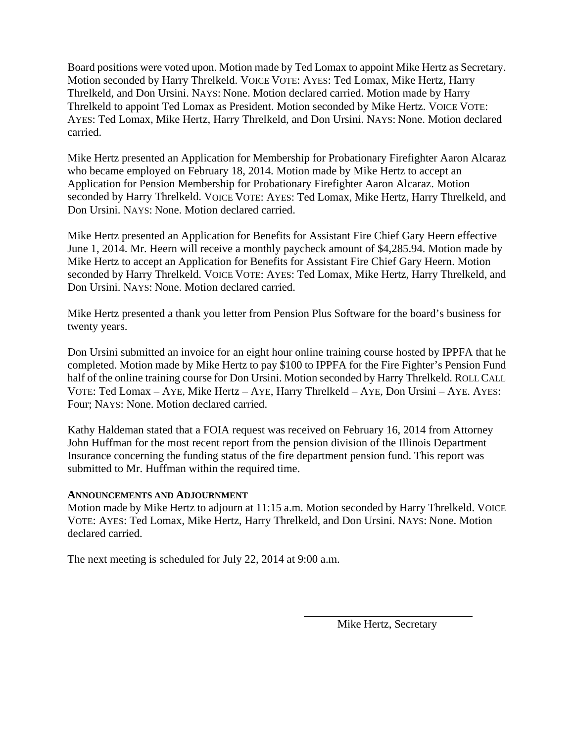Board positions were voted upon. Motion made by Ted Lomax to appoint Mike Hertz as Secretary. Motion seconded by Harry Threlkeld. VOICE VOTE: AYES: Ted Lomax, Mike Hertz, Harry Threlkeld, and Don Ursini. NAYS: None. Motion declared carried. Motion made by Harry Threlkeld to appoint Ted Lomax as President. Motion seconded by Mike Hertz. VOICE VOTE: AYES: Ted Lomax, Mike Hertz, Harry Threlkeld, and Don Ursini. NAYS: None. Motion declared carried.

Mike Hertz presented an Application for Membership for Probationary Firefighter Aaron Alcaraz who became employed on February 18, 2014. Motion made by Mike Hertz to accept an Application for Pension Membership for Probationary Firefighter Aaron Alcaraz. Motion seconded by Harry Threlkeld. VOICE VOTE: AYES: Ted Lomax, Mike Hertz, Harry Threlkeld, and Don Ursini. NAYS: None. Motion declared carried.

Mike Hertz presented an Application for Benefits for Assistant Fire Chief Gary Heern effective June 1, 2014. Mr. Heern will receive a monthly paycheck amount of \$4,285.94. Motion made by Mike Hertz to accept an Application for Benefits for Assistant Fire Chief Gary Heern. Motion seconded by Harry Threlkeld. VOICE VOTE: AYES: Ted Lomax, Mike Hertz, Harry Threlkeld, and Don Ursini. NAYS: None. Motion declared carried.

Mike Hertz presented a thank you letter from Pension Plus Software for the board's business for twenty years.

Don Ursini submitted an invoice for an eight hour online training course hosted by IPPFA that he completed. Motion made by Mike Hertz to pay \$100 to IPPFA for the Fire Fighter's Pension Fund half of the online training course for Don Ursini. Motion seconded by Harry Threlkeld. ROLL CALL VOTE: Ted Lomax – AYE, Mike Hertz – AYE, Harry Threlkeld – AYE, Don Ursini – AYE. AYES: Four; NAYS: None. Motion declared carried.

Kathy Haldeman stated that a FOIA request was received on February 16, 2014 from Attorney John Huffman for the most recent report from the pension division of the Illinois Department Insurance concerning the funding status of the fire department pension fund. This report was submitted to Mr. Huffman within the required time.

## **ANNOUNCEMENTS AND ADJOURNMENT**

Motion made by Mike Hertz to adjourn at 11:15 a.m. Motion seconded by Harry Threlkeld. VOICE VOTE: AYES: Ted Lomax, Mike Hertz, Harry Threlkeld, and Don Ursini. NAYS: None. Motion declared carried.

The next meeting is scheduled for July 22, 2014 at 9:00 a.m.

Mike Hertz, Secretary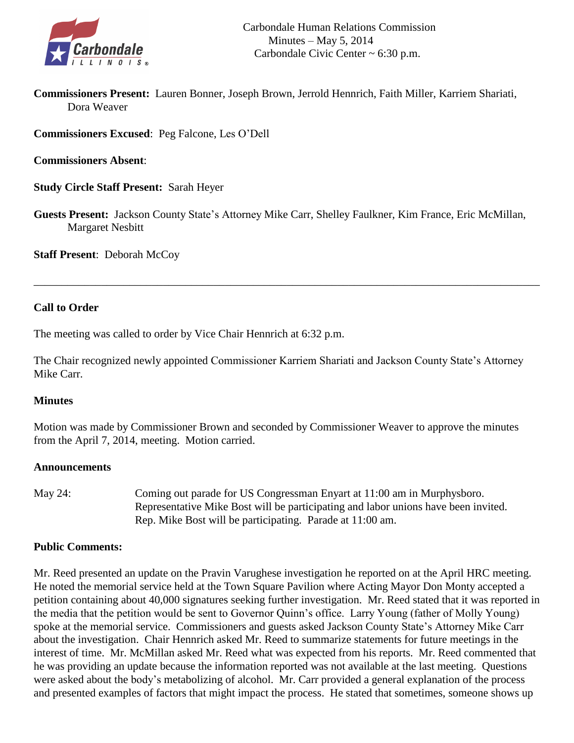

**Commissioners Present:** Lauren Bonner, Joseph Brown, Jerrold Hennrich, Faith Miller, Karriem Shariati, Dora Weaver

**Commissioners Excused**: Peg Falcone, Les O'Dell

**Commissioners Absent**:

**Study Circle Staff Present:** Sarah Heyer

**Guests Present:** Jackson County State's Attorney Mike Carr, Shelley Faulkner, Kim France, Eric McMillan, Margaret Nesbitt

\_\_\_\_\_\_\_\_\_\_\_\_\_\_\_\_\_\_\_\_\_\_\_\_\_\_\_\_\_\_\_\_\_\_\_\_\_\_\_\_\_\_\_\_\_\_\_\_\_\_\_\_\_\_\_\_\_\_\_\_\_\_\_\_\_\_\_\_\_\_\_\_\_\_\_\_\_\_\_\_\_\_\_\_\_\_\_\_\_\_

**Staff Present**: Deborah McCoy

## **Call to Order**

The meeting was called to order by Vice Chair Hennrich at 6:32 p.m.

The Chair recognized newly appointed Commissioner Karriem Shariati and Jackson County State's Attorney Mike Carr.

#### **Minutes**

Motion was made by Commissioner Brown and seconded by Commissioner Weaver to approve the minutes from the April 7, 2014, meeting. Motion carried.

#### **Announcements**

May 24: Coming out parade for US Congressman Enyart at 11:00 am in Murphysboro. Representative Mike Bost will be participating and labor unions have been invited. Rep. Mike Bost will be participating. Parade at 11:00 am.

## **Public Comments:**

Mr. Reed presented an update on the Pravin Varughese investigation he reported on at the April HRC meeting. He noted the memorial service held at the Town Square Pavilion where Acting Mayor Don Monty accepted a petition containing about 40,000 signatures seeking further investigation. Mr. Reed stated that it was reported in the media that the petition would be sent to Governor Quinn's office. Larry Young (father of Molly Young) spoke at the memorial service. Commissioners and guests asked Jackson County State's Attorney Mike Carr about the investigation. Chair Hennrich asked Mr. Reed to summarize statements for future meetings in the interest of time. Mr. McMillan asked Mr. Reed what was expected from his reports. Mr. Reed commented that he was providing an update because the information reported was not available at the last meeting. Questions were asked about the body's metabolizing of alcohol. Mr. Carr provided a general explanation of the process and presented examples of factors that might impact the process. He stated that sometimes, someone shows up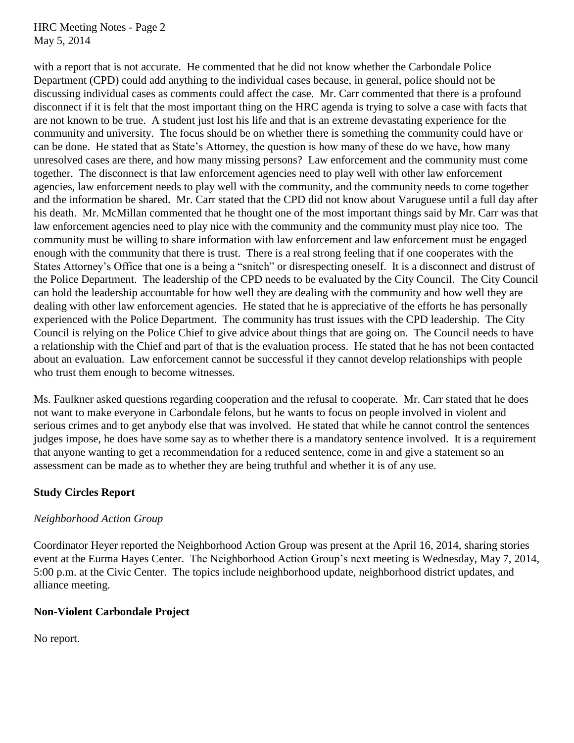HRC Meeting Notes - Page 2 May 5, 2014

with a report that is not accurate. He commented that he did not know whether the Carbondale Police Department (CPD) could add anything to the individual cases because, in general, police should not be discussing individual cases as comments could affect the case. Mr. Carr commented that there is a profound disconnect if it is felt that the most important thing on the HRC agenda is trying to solve a case with facts that are not known to be true. A student just lost his life and that is an extreme devastating experience for the community and university. The focus should be on whether there is something the community could have or can be done. He stated that as State's Attorney, the question is how many of these do we have, how many unresolved cases are there, and how many missing persons? Law enforcement and the community must come together. The disconnect is that law enforcement agencies need to play well with other law enforcement agencies, law enforcement needs to play well with the community, and the community needs to come together and the information be shared. Mr. Carr stated that the CPD did not know about Varuguese until a full day after his death. Mr. McMillan commented that he thought one of the most important things said by Mr. Carr was that law enforcement agencies need to play nice with the community and the community must play nice too. The community must be willing to share information with law enforcement and law enforcement must be engaged enough with the community that there is trust. There is a real strong feeling that if one cooperates with the States Attorney's Office that one is a being a "snitch" or disrespecting oneself. It is a disconnect and distrust of the Police Department. The leadership of the CPD needs to be evaluated by the City Council. The City Council can hold the leadership accountable for how well they are dealing with the community and how well they are dealing with other law enforcement agencies. He stated that he is appreciative of the efforts he has personally experienced with the Police Department. The community has trust issues with the CPD leadership. The City Council is relying on the Police Chief to give advice about things that are going on. The Council needs to have a relationship with the Chief and part of that is the evaluation process. He stated that he has not been contacted about an evaluation. Law enforcement cannot be successful if they cannot develop relationships with people who trust them enough to become witnesses.

Ms. Faulkner asked questions regarding cooperation and the refusal to cooperate. Mr. Carr stated that he does not want to make everyone in Carbondale felons, but he wants to focus on people involved in violent and serious crimes and to get anybody else that was involved. He stated that while he cannot control the sentences judges impose, he does have some say as to whether there is a mandatory sentence involved. It is a requirement that anyone wanting to get a recommendation for a reduced sentence, come in and give a statement so an assessment can be made as to whether they are being truthful and whether it is of any use.

# **Study Circles Report**

# *Neighborhood Action Group*

Coordinator Heyer reported the Neighborhood Action Group was present at the April 16, 2014, sharing stories event at the Eurma Hayes Center. The Neighborhood Action Group's next meeting is Wednesday, May 7, 2014, 5:00 p.m. at the Civic Center. The topics include neighborhood update, neighborhood district updates, and alliance meeting.

## **Non-Violent Carbondale Project**

No report.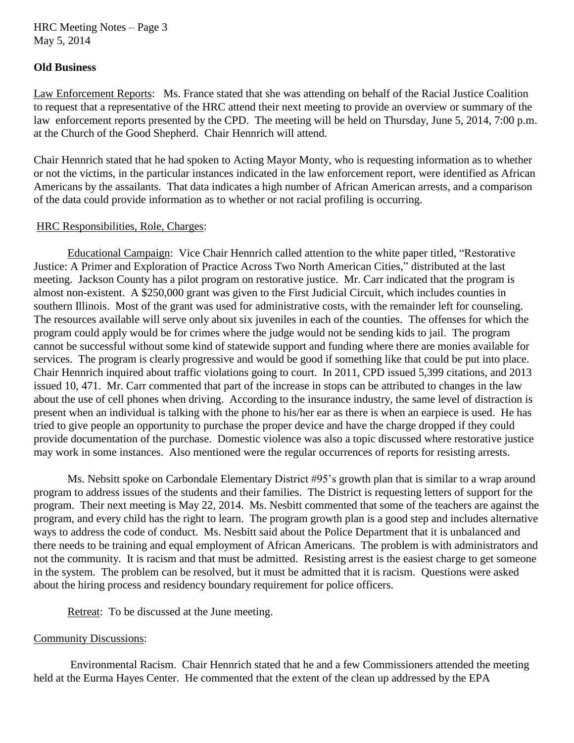## HRC Meeting Notes – Page 3 May 5, 2014

# **Old Business**

Law Enforcement Reports: Ms. France stated that she was attending on behalf of the Racial Justice Coalition to request that a representative of the HRC attend their next meeting to provide an overview or summary of the law enforcement reports presented by the CPD. The meeting will be held on Thursday, June 5, 2014, 7:00 p.m. at the Church of the Good Shepherd. Chair Hennrich will attend.

Chair Hennrich stated that he had spoken to Acting Mayor Monty, who is requesting information as to whether or not the victims, in the particular instances indicated in the law enforcement report, were identified as African Americans by the assailants. That data indicates a high number of African American arrests, and a comparison of the data could provide information as to whether or not racial profiling is occurring.

## HRC Responsibilities, Role, Charges:

Educational Campaign: Vice Chair Hennrich called attention to the white paper titled, "Restorative Justice: A Primer and Exploration of Practice Across Two North American Cities," distributed at the last meeting. Jackson County has a pilot program on restorative justice. Mr. Carr indicated that the program is almost non-existent. A \$250,000 grant was given to the First Judicial Circuit, which includes counties in southern Illinois. Most of the grant was used for administrative costs, with the remainder left for counseling. The resources available will serve only about six juveniles in each of the counties. The offenses for which the program could apply would be for crimes where the judge would not be sending kids to jail. The program cannot be successful without some kind of statewide support and funding where there are monies available for services. The program is clearly progressive and would be good if something like that could be put into place. Chair Hennrich inquired about traffic violations going to court. In 2011, CPD issued 5,399 citations, and 2013 issued 10, 471. Mr. Carr commented that part of the increase in stops can be attributed to changes in the law about the use of cell phones when driving. According to the insurance industry, the same level of distraction is present when an individual is talking with the phone to his/her ear as there is when an earpiece is used. He has tried to give people an opportunity to purchase the proper device and have the charge dropped if they could provide documentation of the purchase. Domestic violence was also a topic discussed where restorative justice may work in some instances. Also mentioned were the regular occurrences of reports for resisting arrests.

Ms. Nebsitt spoke on Carbondale Elementary District #95's growth plan that is similar to a wrap around program to address issues of the students and their families. The District is requesting letters of support for the program. Their next meeting is May 22, 2014. Ms. Nesbitt commented that some of the teachers are against the program, and every child has the right to learn. The program growth plan is a good step and includes alternative ways to address the code of conduct. Ms. Nesbitt said about the Police Department that it is unbalanced and there needs to be training and equal employment of African Americans. The problem is with administrators and not the community. It is racism and that must be admitted. Resisting arrest is the easiest charge to get someone in the system. The problem can be resolved, but it must be admitted that it is racism. Questions were asked about the hiring process and residency boundary requirement for police officers.

Retreat: To be discussed at the June meeting.

## Community Discussions:

Environmental Racism. Chair Hennrich stated that he and a few Commissioners attended the meeting held at the Eurma Hayes Center. He commented that the extent of the clean up addressed by the EPA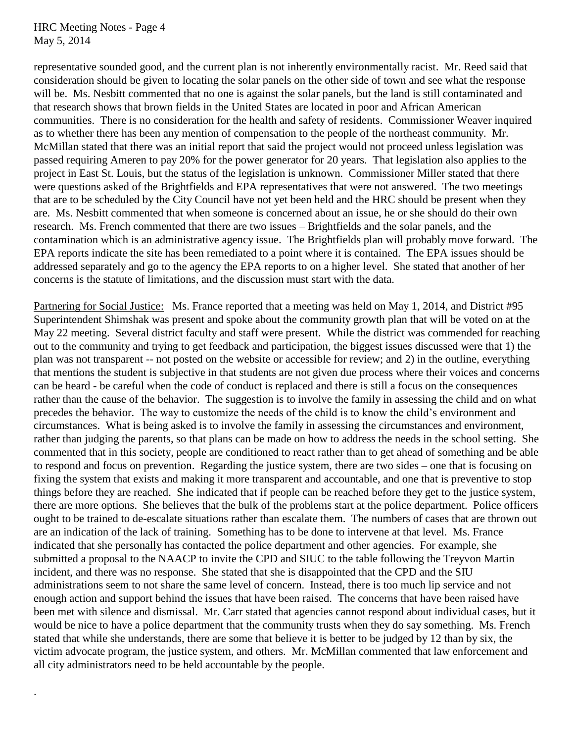HRC Meeting Notes - Page 4 May 5, 2014

.

representative sounded good, and the current plan is not inherently environmentally racist. Mr. Reed said that consideration should be given to locating the solar panels on the other side of town and see what the response will be. Ms. Nesbitt commented that no one is against the solar panels, but the land is still contaminated and that research shows that brown fields in the United States are located in poor and African American communities. There is no consideration for the health and safety of residents. Commissioner Weaver inquired as to whether there has been any mention of compensation to the people of the northeast community. Mr. McMillan stated that there was an initial report that said the project would not proceed unless legislation was passed requiring Ameren to pay 20% for the power generator for 20 years. That legislation also applies to the project in East St. Louis, but the status of the legislation is unknown. Commissioner Miller stated that there were questions asked of the Brightfields and EPA representatives that were not answered. The two meetings that are to be scheduled by the City Council have not yet been held and the HRC should be present when they are. Ms. Nesbitt commented that when someone is concerned about an issue, he or she should do their own research. Ms. French commented that there are two issues – Brightfields and the solar panels, and the contamination which is an administrative agency issue. The Brightfields plan will probably move forward. The EPA reports indicate the site has been remediated to a point where it is contained. The EPA issues should be addressed separately and go to the agency the EPA reports to on a higher level. She stated that another of her concerns is the statute of limitations, and the discussion must start with the data.

Partnering for Social Justice: Ms. France reported that a meeting was held on May 1, 2014, and District #95 Superintendent Shimshak was present and spoke about the community growth plan that will be voted on at the May 22 meeting. Several district faculty and staff were present. While the district was commended for reaching out to the community and trying to get feedback and participation, the biggest issues discussed were that 1) the plan was not transparent -- not posted on the website or accessible for review; and 2) in the outline, everything that mentions the student is subjective in that students are not given due process where their voices and concerns can be heard - be careful when the code of conduct is replaced and there is still a focus on the consequences rather than the cause of the behavior. The suggestion is to involve the family in assessing the child and on what precedes the behavior. The way to customize the needs of the child is to know the child's environment and circumstances. What is being asked is to involve the family in assessing the circumstances and environment, rather than judging the parents, so that plans can be made on how to address the needs in the school setting. She commented that in this society, people are conditioned to react rather than to get ahead of something and be able to respond and focus on prevention. Regarding the justice system, there are two sides – one that is focusing on fixing the system that exists and making it more transparent and accountable, and one that is preventive to stop things before they are reached. She indicated that if people can be reached before they get to the justice system, there are more options. She believes that the bulk of the problems start at the police department. Police officers ought to be trained to de-escalate situations rather than escalate them. The numbers of cases that are thrown out are an indication of the lack of training. Something has to be done to intervene at that level. Ms. France indicated that she personally has contacted the police department and other agencies. For example, she submitted a proposal to the NAACP to invite the CPD and SIUC to the table following the Treyvon Martin incident, and there was no response. She stated that she is disappointed that the CPD and the SIU administrations seem to not share the same level of concern. Instead, there is too much lip service and not enough action and support behind the issues that have been raised. The concerns that have been raised have been met with silence and dismissal. Mr. Carr stated that agencies cannot respond about individual cases, but it would be nice to have a police department that the community trusts when they do say something. Ms. French stated that while she understands, there are some that believe it is better to be judged by 12 than by six, the victim advocate program, the justice system, and others. Mr. McMillan commented that law enforcement and all city administrators need to be held accountable by the people.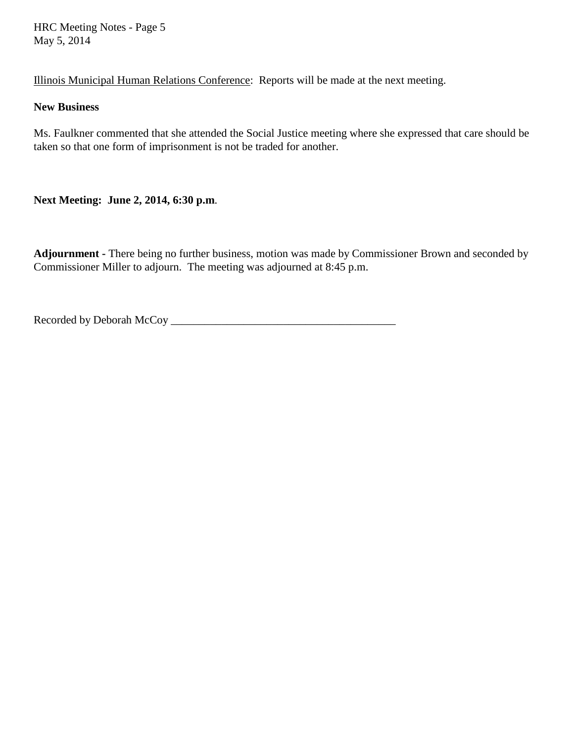HRC Meeting Notes - Page 5 May 5, 2014

Illinois Municipal Human Relations Conference: Reports will be made at the next meeting.

#### **New Business**

Ms. Faulkner commented that she attended the Social Justice meeting where she expressed that care should be taken so that one form of imprisonment is not be traded for another.

**Next Meeting: June 2, 2014, 6:30 p.m**.

**Adjournment -** There being no further business, motion was made by Commissioner Brown and seconded by Commissioner Miller to adjourn. The meeting was adjourned at 8:45 p.m.

Recorded by Deborah McCoy \_\_\_\_\_\_\_\_\_\_\_\_\_\_\_\_\_\_\_\_\_\_\_\_\_\_\_\_\_\_\_\_\_\_\_\_\_\_\_\_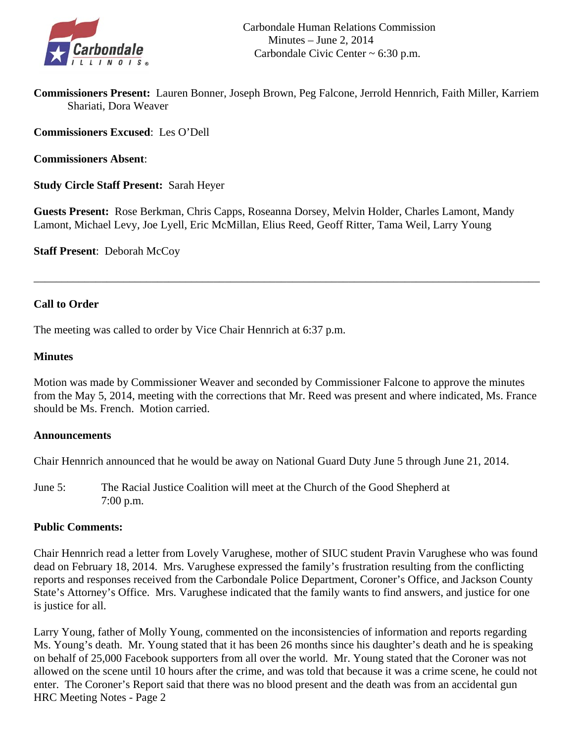

**Commissioners Present:** Lauren Bonner, Joseph Brown, Peg Falcone, Jerrold Hennrich, Faith Miller, Karriem Shariati, Dora Weaver

**Commissioners Excused**: Les O'Dell

**Commissioners Absent**:

**Study Circle Staff Present:** Sarah Heyer

**Guests Present:** Rose Berkman, Chris Capps, Roseanna Dorsey, Melvin Holder, Charles Lamont, Mandy Lamont, Michael Levy, Joe Lyell, Eric McMillan, Elius Reed, Geoff Ritter, Tama Weil, Larry Young

\_\_\_\_\_\_\_\_\_\_\_\_\_\_\_\_\_\_\_\_\_\_\_\_\_\_\_\_\_\_\_\_\_\_\_\_\_\_\_\_\_\_\_\_\_\_\_\_\_\_\_\_\_\_\_\_\_\_\_\_\_\_\_\_\_\_\_\_\_\_\_\_\_\_\_\_\_\_\_\_\_\_\_\_\_\_\_\_\_\_

**Staff Present**: Deborah McCoy

# **Call to Order**

The meeting was called to order by Vice Chair Hennrich at 6:37 p.m.

#### **Minutes**

Motion was made by Commissioner Weaver and seconded by Commissioner Falcone to approve the minutes from the May 5, 2014, meeting with the corrections that Mr. Reed was present and where indicated, Ms. France should be Ms. French. Motion carried.

## **Announcements**

Chair Hennrich announced that he would be away on National Guard Duty June 5 through June 21, 2014.

June 5: The Racial Justice Coalition will meet at the Church of the Good Shepherd at 7:00 p.m.

## **Public Comments:**

Chair Hennrich read a letter from Lovely Varughese, mother of SIUC student Pravin Varughese who was found dead on February 18, 2014. Mrs. Varughese expressed the family's frustration resulting from the conflicting reports and responses received from the Carbondale Police Department, Coroner's Office, and Jackson County State's Attorney's Office. Mrs. Varughese indicated that the family wants to find answers, and justice for one is justice for all.

Larry Young, father of Molly Young, commented on the inconsistencies of information and reports regarding Ms. Young's death. Mr. Young stated that it has been 26 months since his daughter's death and he is speaking on behalf of 25,000 Facebook supporters from all over the world. Mr. Young stated that the Coroner was not allowed on the scene until 10 hours after the crime, and was told that because it was a crime scene, he could not enter. The Coroner's Report said that there was no blood present and the death was from an accidental gun HRC Meeting Notes - Page 2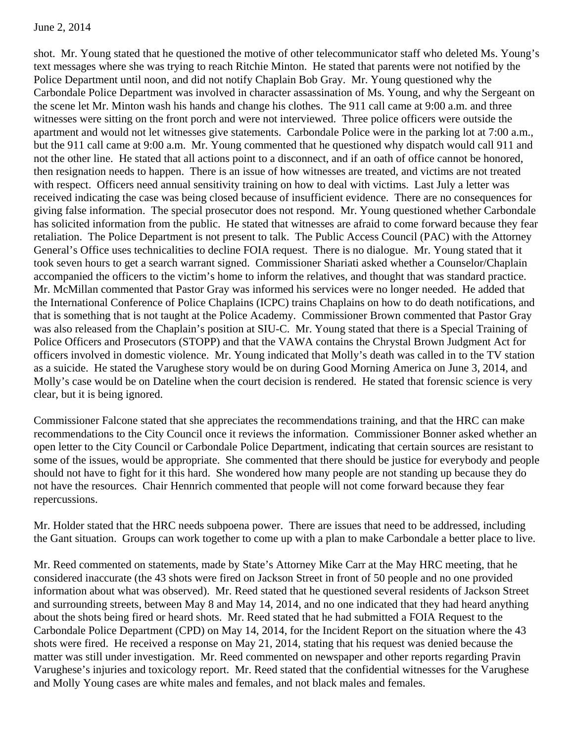June 2, 2014

shot. Mr. Young stated that he questioned the motive of other telecommunicator staff who deleted Ms. Young's text messages where she was trying to reach Ritchie Minton. He stated that parents were not notified by the Police Department until noon, and did not notify Chaplain Bob Gray. Mr. Young questioned why the Carbondale Police Department was involved in character assassination of Ms. Young, and why the Sergeant on the scene let Mr. Minton wash his hands and change his clothes. The 911 call came at 9:00 a.m. and three witnesses were sitting on the front porch and were not interviewed. Three police officers were outside the apartment and would not let witnesses give statements. Carbondale Police were in the parking lot at 7:00 a.m., but the 911 call came at 9:00 a.m. Mr. Young commented that he questioned why dispatch would call 911 and not the other line. He stated that all actions point to a disconnect, and if an oath of office cannot be honored, then resignation needs to happen. There is an issue of how witnesses are treated, and victims are not treated with respect. Officers need annual sensitivity training on how to deal with victims. Last July a letter was received indicating the case was being closed because of insufficient evidence. There are no consequences for giving false information. The special prosecutor does not respond. Mr. Young questioned whether Carbondale has solicited information from the public. He stated that witnesses are afraid to come forward because they fear retaliation. The Police Department is not present to talk. The Public Access Council (PAC) with the Attorney General's Office uses technicalities to decline FOIA request. There is no dialogue. Mr. Young stated that it took seven hours to get a search warrant signed. Commissioner Shariati asked whether a Counselor/Chaplain accompanied the officers to the victim's home to inform the relatives, and thought that was standard practice. Mr. McMillan commented that Pastor Gray was informed his services were no longer needed. He added that the International Conference of Police Chaplains (ICPC) trains Chaplains on how to do death notifications, and that is something that is not taught at the Police Academy. Commissioner Brown commented that Pastor Gray was also released from the Chaplain's position at SIU-C. Mr. Young stated that there is a Special Training of Police Officers and Prosecutors (STOPP) and that the VAWA contains the Chrystal Brown Judgment Act for officers involved in domestic violence. Mr. Young indicated that Molly's death was called in to the TV station as a suicide. He stated the Varughese story would be on during Good Morning America on June 3, 2014, and Molly's case would be on Dateline when the court decision is rendered. He stated that forensic science is very clear, but it is being ignored.

Commissioner Falcone stated that she appreciates the recommendations training, and that the HRC can make recommendations to the City Council once it reviews the information. Commissioner Bonner asked whether an open letter to the City Council or Carbondale Police Department, indicating that certain sources are resistant to some of the issues, would be appropriate. She commented that there should be justice for everybody and people should not have to fight for it this hard. She wondered how many people are not standing up because they do not have the resources. Chair Hennrich commented that people will not come forward because they fear repercussions.

Mr. Holder stated that the HRC needs subpoena power. There are issues that need to be addressed, including the Gant situation. Groups can work together to come up with a plan to make Carbondale a better place to live.

Mr. Reed commented on statements, made by State's Attorney Mike Carr at the May HRC meeting, that he considered inaccurate (the 43 shots were fired on Jackson Street in front of 50 people and no one provided information about what was observed). Mr. Reed stated that he questioned several residents of Jackson Street and surrounding streets, between May 8 and May 14, 2014, and no one indicated that they had heard anything about the shots being fired or heard shots. Mr. Reed stated that he had submitted a FOIA Request to the Carbondale Police Department (CPD) on May 14, 2014, for the Incident Report on the situation where the 43 shots were fired. He received a response on May 21, 2014, stating that his request was denied because the matter was still under investigation. Mr. Reed commented on newspaper and other reports regarding Pravin Varughese's injuries and toxicology report. Mr. Reed stated that the confidential witnesses for the Varughese and Molly Young cases are white males and females, and not black males and females.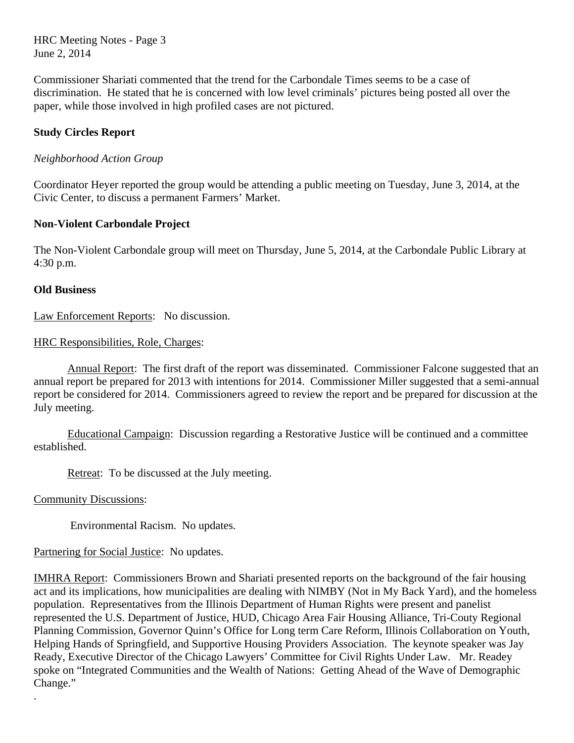HRC Meeting Notes - Page 3 June 2, 2014

Commissioner Shariati commented that the trend for the Carbondale Times seems to be a case of discrimination. He stated that he is concerned with low level criminals' pictures being posted all over the paper, while those involved in high profiled cases are not pictured.

# **Study Circles Report**

# *Neighborhood Action Group*

Coordinator Heyer reported the group would be attending a public meeting on Tuesday, June 3, 2014, at the Civic Center, to discuss a permanent Farmers' Market.

# **Non-Violent Carbondale Project**

The Non-Violent Carbondale group will meet on Thursday, June 5, 2014, at the Carbondale Public Library at 4:30 p.m.

## **Old Business**

Law Enforcement Reports: No discussion.

# HRC Responsibilities, Role, Charges:

 Annual Report: The first draft of the report was disseminated. Commissioner Falcone suggested that an annual report be prepared for 2013 with intentions for 2014. Commissioner Miller suggested that a semi-annual report be considered for 2014. Commissioners agreed to review the report and be prepared for discussion at the July meeting.

 Educational Campaign: Discussion regarding a Restorative Justice will be continued and a committee established.

Retreat: To be discussed at the July meeting.

## Community Discussions:

.

Environmental Racism. No updates.

Partnering for Social Justice: No updates.

IMHRA Report: Commissioners Brown and Shariati presented reports on the background of the fair housing act and its implications, how municipalities are dealing with NIMBY (Not in My Back Yard), and the homeless population. Representatives from the Illinois Department of Human Rights were present and panelist represented the U.S. Department of Justice, HUD, Chicago Area Fair Housing Alliance, Tri-Couty Regional Planning Commission, Governor Quinn's Office for Long term Care Reform, Illinois Collaboration on Youth, Helping Hands of Springfield, and Supportive Housing Providers Association. The keynote speaker was Jay Ready, Executive Director of the Chicago Lawyers' Committee for Civil Rights Under Law. Mr. Readey spoke on "Integrated Communities and the Wealth of Nations: Getting Ahead of the Wave of Demographic Change."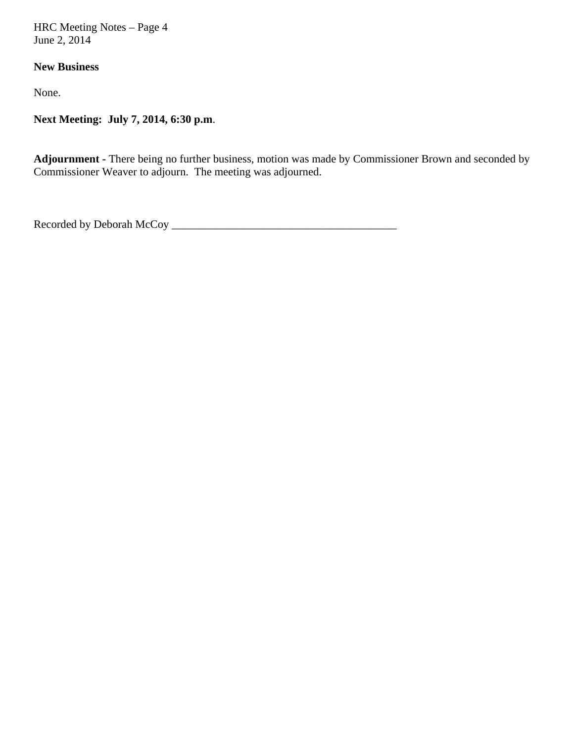HRC Meeting Notes – Page 4 June 2, 2014

# **New Business**

None.

**Next Meeting: July 7, 2014, 6:30 p.m**.

**Adjournment -** There being no further business, motion was made by Commissioner Brown and seconded by Commissioner Weaver to adjourn. The meeting was adjourned.

Recorded by Deborah McCoy \_\_\_\_\_\_\_\_\_\_\_\_\_\_\_\_\_\_\_\_\_\_\_\_\_\_\_\_\_\_\_\_\_\_\_\_\_\_\_\_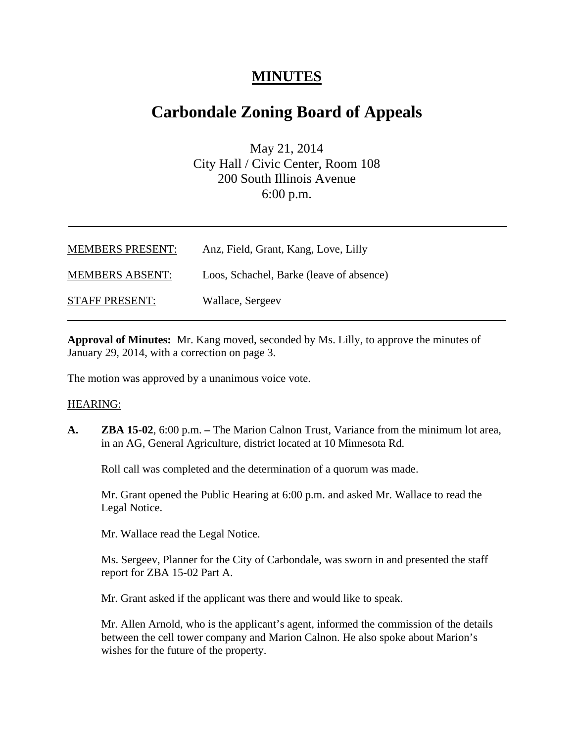# **MINUTES**

# **Carbondale Zoning Board of Appeals**

May 21, 2014 City Hall / Civic Center, Room 108 200 South Illinois Avenue 6:00 p.m.

| <b>MEMBERS PRESENT:</b> | Anz, Field, Grant, Kang, Love, Lilly     |
|-------------------------|------------------------------------------|
| <b>MEMBERS ABSENT:</b>  | Loos, Schachel, Barke (leave of absence) |
| <b>STAFF PRESENT:</b>   | Wallace, Sergeev                         |

**Approval of Minutes:** Mr. Kang moved, seconded by Ms. Lilly, to approve the minutes of January 29, 2014, with a correction on page 3.

The motion was approved by a unanimous voice vote.

#### HEARING:

**A. ZBA 15-02**, 6:00 p.m. **–** The Marion Calnon Trust, Variance from the minimum lot area, in an AG, General Agriculture, district located at 10 Minnesota Rd.

Roll call was completed and the determination of a quorum was made.

Mr. Grant opened the Public Hearing at 6:00 p.m. and asked Mr. Wallace to read the Legal Notice.

Mr. Wallace read the Legal Notice.

Ms. Sergeev, Planner for the City of Carbondale, was sworn in and presented the staff report for ZBA 15-02 Part A.

Mr. Grant asked if the applicant was there and would like to speak.

Mr. Allen Arnold, who is the applicant's agent, informed the commission of the details between the cell tower company and Marion Calnon. He also spoke about Marion's wishes for the future of the property.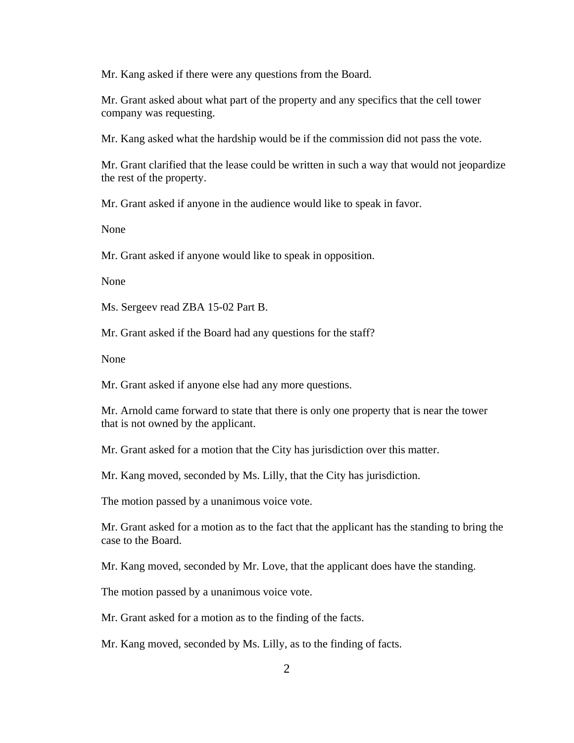Mr. Kang asked if there were any questions from the Board.

Mr. Grant asked about what part of the property and any specifics that the cell tower company was requesting.

Mr. Kang asked what the hardship would be if the commission did not pass the vote.

Mr. Grant clarified that the lease could be written in such a way that would not jeopardize the rest of the property.

Mr. Grant asked if anyone in the audience would like to speak in favor.

None

Mr. Grant asked if anyone would like to speak in opposition.

None

Ms. Sergeev read ZBA 15-02 Part B.

Mr. Grant asked if the Board had any questions for the staff?

None

Mr. Grant asked if anyone else had any more questions.

Mr. Arnold came forward to state that there is only one property that is near the tower that is not owned by the applicant.

Mr. Grant asked for a motion that the City has jurisdiction over this matter.

Mr. Kang moved, seconded by Ms. Lilly, that the City has jurisdiction.

The motion passed by a unanimous voice vote.

Mr. Grant asked for a motion as to the fact that the applicant has the standing to bring the case to the Board.

Mr. Kang moved, seconded by Mr. Love, that the applicant does have the standing.

The motion passed by a unanimous voice vote.

Mr. Grant asked for a motion as to the finding of the facts.

Mr. Kang moved, seconded by Ms. Lilly, as to the finding of facts.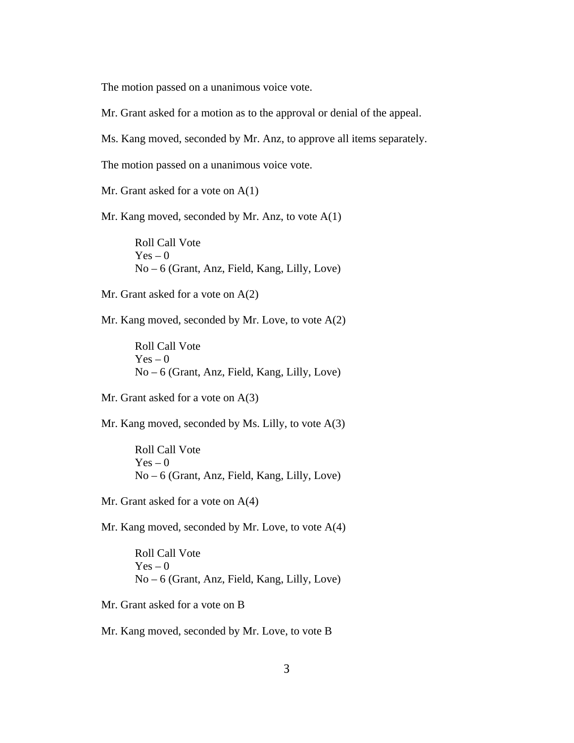The motion passed on a unanimous voice vote.

Mr. Grant asked for a motion as to the approval or denial of the appeal.

Ms. Kang moved, seconded by Mr. Anz, to approve all items separately.

The motion passed on a unanimous voice vote.

Mr. Grant asked for a vote on A(1)

Mr. Kang moved, seconded by Mr. Anz, to vote A(1)

 Roll Call Vote  $Yes - 0$ No – 6 (Grant, Anz, Field, Kang, Lilly, Love)

Mr. Grant asked for a vote on A(2)

Mr. Kang moved, seconded by Mr. Love, to vote A(2)

 Roll Call Vote  $Yes - 0$ No – 6 (Grant, Anz, Field, Kang, Lilly, Love)

Mr. Grant asked for a vote on A(3)

Mr. Kang moved, seconded by Ms. Lilly, to vote A(3)

 Roll Call Vote  $Yes - 0$ No – 6 (Grant, Anz, Field, Kang, Lilly, Love)

Mr. Grant asked for a vote on A(4)

Mr. Kang moved, seconded by Mr. Love, to vote A(4)

 Roll Call Vote  $Yes - 0$ No – 6 (Grant, Anz, Field, Kang, Lilly, Love)

Mr. Grant asked for a vote on B

Mr. Kang moved, seconded by Mr. Love, to vote B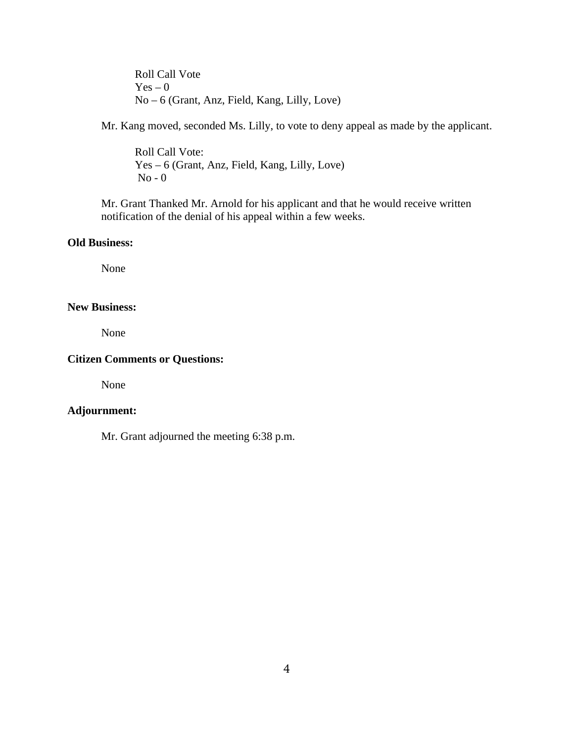Roll Call Vote  $Yes - 0$ No – 6 (Grant, Anz, Field, Kang, Lilly, Love)

Mr. Kang moved, seconded Ms. Lilly, to vote to deny appeal as made by the applicant.

Roll Call Vote: Yes – 6 (Grant, Anz, Field, Kang, Lilly, Love)  $No - 0$ 

Mr. Grant Thanked Mr. Arnold for his applicant and that he would receive written notification of the denial of his appeal within a few weeks.

#### **Old Business:**

None

#### **New Business:**

None

# **Citizen Comments or Questions:**

None

# **Adjournment:**

Mr. Grant adjourned the meeting 6:38 p.m.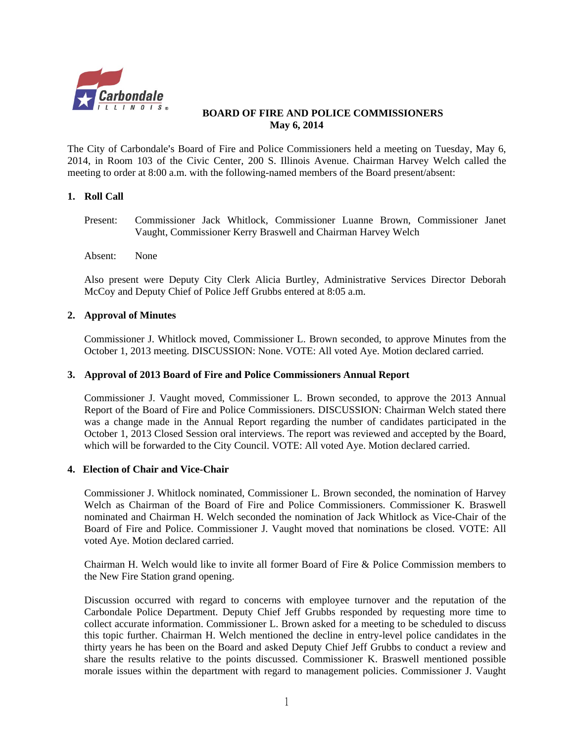

#### **BOARD OF FIRE AND POLICE COMMISSIONERS May 6, 2014**

The City of Carbondale's Board of Fire and Police Commissioners held a meeting on Tuesday, May 6, 2014, in Room 103 of the Civic Center, 200 S. Illinois Avenue. Chairman Harvey Welch called the meeting to order at 8:00 a.m. with the following-named members of the Board present/absent:

#### **1. Roll Call**

Present: Commissioner Jack Whitlock, Commissioner Luanne Brown, Commissioner Janet Vaught, Commissioner Kerry Braswell and Chairman Harvey Welch

Absent: None

Also present were Deputy City Clerk Alicia Burtley, Administrative Services Director Deborah McCoy and Deputy Chief of Police Jeff Grubbs entered at 8:05 a.m.

#### **2. Approval of Minutes**

Commissioner J. Whitlock moved, Commissioner L. Brown seconded, to approve Minutes from the October 1, 2013 meeting. DISCUSSION: None. VOTE: All voted Aye. Motion declared carried.

#### **3. Approval of 2013 Board of Fire and Police Commissioners Annual Report**

Commissioner J. Vaught moved, Commissioner L. Brown seconded, to approve the 2013 Annual Report of the Board of Fire and Police Commissioners. DISCUSSION: Chairman Welch stated there was a change made in the Annual Report regarding the number of candidates participated in the October 1, 2013 Closed Session oral interviews. The report was reviewed and accepted by the Board, which will be forwarded to the City Council. VOTE: All voted Aye. Motion declared carried.

#### **4. Election of Chair and Vice-Chair**

Commissioner J. Whitlock nominated, Commissioner L. Brown seconded, the nomination of Harvey Welch as Chairman of the Board of Fire and Police Commissioners. Commissioner K. Braswell nominated and Chairman H. Welch seconded the nomination of Jack Whitlock as Vice-Chair of the Board of Fire and Police. Commissioner J. Vaught moved that nominations be closed. VOTE: All voted Aye. Motion declared carried.

Chairman H. Welch would like to invite all former Board of Fire & Police Commission members to the New Fire Station grand opening.

Discussion occurred with regard to concerns with employee turnover and the reputation of the Carbondale Police Department. Deputy Chief Jeff Grubbs responded by requesting more time to collect accurate information. Commissioner L. Brown asked for a meeting to be scheduled to discuss this topic further. Chairman H. Welch mentioned the decline in entry-level police candidates in the thirty years he has been on the Board and asked Deputy Chief Jeff Grubbs to conduct a review and share the results relative to the points discussed. Commissioner K. Braswell mentioned possible morale issues within the department with regard to management policies. Commissioner J. Vaught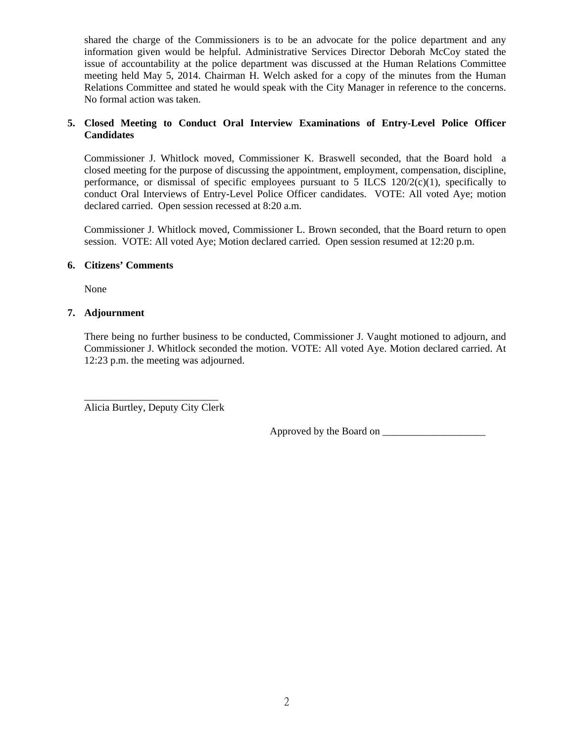shared the charge of the Commissioners is to be an advocate for the police department and any information given would be helpful. Administrative Services Director Deborah McCoy stated the issue of accountability at the police department was discussed at the Human Relations Committee meeting held May 5, 2014. Chairman H. Welch asked for a copy of the minutes from the Human Relations Committee and stated he would speak with the City Manager in reference to the concerns. No formal action was taken.

#### **5. Closed Meeting to Conduct Oral Interview Examinations of Entry-Level Police Officer Candidates**

Commissioner J. Whitlock moved, Commissioner K. Braswell seconded, that the Board hold a closed meeting for the purpose of discussing the appointment, employment, compensation, discipline, performance, or dismissal of specific employees pursuant to 5 ILCS  $120/2(c)(1)$ , specifically to conduct Oral Interviews of Entry-Level Police Officer candidates. VOTE: All voted Aye; motion declared carried. Open session recessed at 8:20 a.m.

 Commissioner J. Whitlock moved, Commissioner L. Brown seconded, that the Board return to open session. VOTE: All voted Aye; Motion declared carried. Open session resumed at 12:20 p.m.

#### **6. Citizens' Comments**

None

#### **7. Adjournment**

There being no further business to be conducted, Commissioner J. Vaught motioned to adjourn, and Commissioner J. Whitlock seconded the motion. VOTE: All voted Aye. Motion declared carried. At 12:23 p.m. the meeting was adjourned.

\_\_\_\_\_\_\_\_\_\_\_\_\_\_\_\_\_\_\_\_\_\_\_\_\_\_ Alicia Burtley, Deputy City Clerk

Approved by the Board on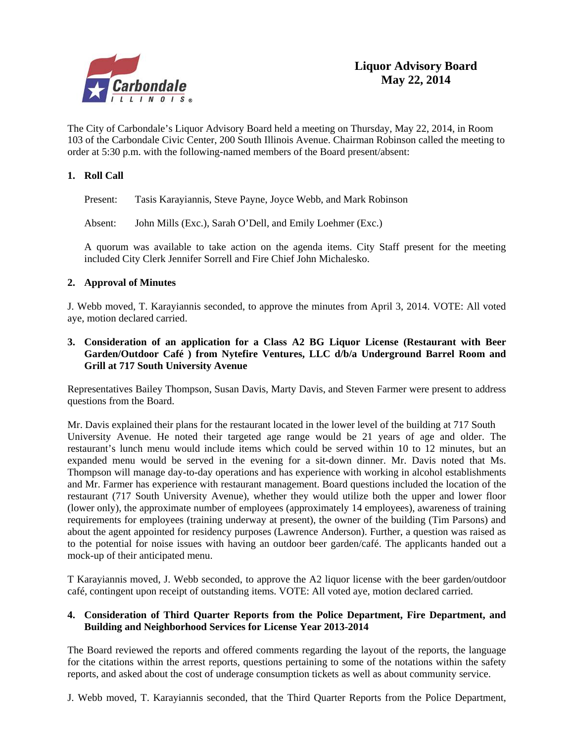

The City of Carbondale's Liquor Advisory Board held a meeting on Thursday, May 22, 2014, in Room 103 of the Carbondale Civic Center, 200 South Illinois Avenue. Chairman Robinson called the meeting to order at 5:30 p.m. with the following-named members of the Board present/absent:

#### **1. Roll Call**

Present: Tasis Karayiannis, Steve Payne, Joyce Webb, and Mark Robinson

Absent: John Mills (Exc.), Sarah O'Dell, and Emily Loehmer (Exc.)

A quorum was available to take action on the agenda items. City Staff present for the meeting included City Clerk Jennifer Sorrell and Fire Chief John Michalesko.

#### **2. Approval of Minutes**

J. Webb moved, T. Karayiannis seconded, to approve the minutes from April 3, 2014. VOTE: All voted aye, motion declared carried.

**3. Consideration of an application for a Class A2 BG Liquor License (Restaurant with Beer Garden/Outdoor Café ) from Nytefire Ventures, LLC d/b/a Underground Barrel Room and Grill at 717 South University Avenue** 

Representatives Bailey Thompson, Susan Davis, Marty Davis, and Steven Farmer were present to address questions from the Board.

Mr. Davis explained their plans for the restaurant located in the lower level of the building at 717 South University Avenue. He noted their targeted age range would be 21 years of age and older. The restaurant's lunch menu would include items which could be served within 10 to 12 minutes, but an expanded menu would be served in the evening for a sit-down dinner. Mr. Davis noted that Ms. Thompson will manage day-to-day operations and has experience with working in alcohol establishments and Mr. Farmer has experience with restaurant management. Board questions included the location of the restaurant (717 South University Avenue), whether they would utilize both the upper and lower floor (lower only), the approximate number of employees (approximately 14 employees), awareness of training requirements for employees (training underway at present), the owner of the building (Tim Parsons) and about the agent appointed for residency purposes (Lawrence Anderson). Further, a question was raised as to the potential for noise issues with having an outdoor beer garden/café. The applicants handed out a mock-up of their anticipated menu.

T Karayiannis moved, J. Webb seconded, to approve the A2 liquor license with the beer garden/outdoor café, contingent upon receipt of outstanding items. VOTE: All voted aye, motion declared carried.

#### **4. Consideration of Third Quarter Reports from the Police Department, Fire Department, and Building and Neighborhood Services for License Year 2013-2014**

The Board reviewed the reports and offered comments regarding the layout of the reports, the language for the citations within the arrest reports, questions pertaining to some of the notations within the safety reports, and asked about the cost of underage consumption tickets as well as about community service.

J. Webb moved, T. Karayiannis seconded, that the Third Quarter Reports from the Police Department,